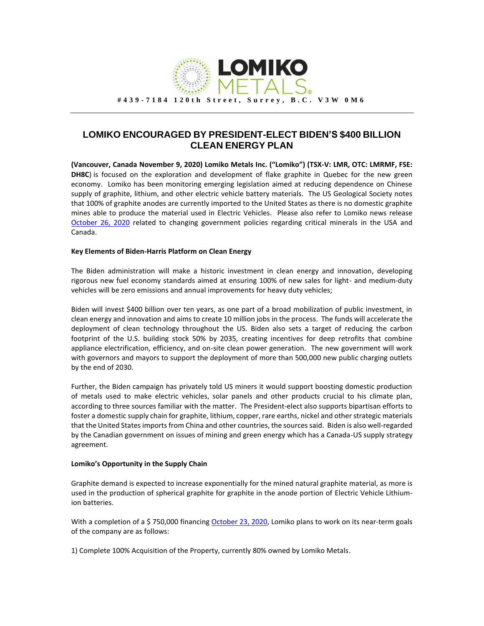

## **LOMIKO ENCOURAGED BY PRESIDENT-ELECT BIDEN'S \$400 BILLION CLEAN ENERGY PLAN**

**(Vancouver, Canada November 9, 2020) Lomiko Metals Inc. ("Lomiko") (TSX-V: LMR, OTC: LMRMF, FSE: DH8C**) is focused on the exploration and development of flake graphite in Quebec for the new green economy. Lomiko has been monitoring emerging legislation aimed at reducing dependence on Chinese supply of graphite, lithium, and other electric vehicle battery materials. The US Geological Society notes that 100% of graphite anodes are currently imported to the United States as there is no domestic graphite mines able to produce the material used in Electric Vehicles. Please also refer to Lomiko news release [October 26, 2020](https://www.lomiko.com/uncategorized/biden-joins-house-senate-and-white-house-call-for-a-north-american-critical-minerals-mining-strategy/) related to changing government policies regarding critical minerals in the USA and Canada.

## **Key Elements of Biden-Harris Platform on Clean Energy**

The Biden administration will make a historic investment in clean energy and innovation, developing rigorous new fuel economy standards aimed at ensuring 100% of new sales for light- and medium-duty vehicles will be zero emissions and annual improvements for heavy duty vehicles;

Biden will invest \$400 billion over ten years, as one part of a broad mobilization of public investment, in clean energy and innovation and aims to create 10 million jobs in the process. The funds will accelerate the deployment of clean technology throughout the US. Biden also sets a target of reducing the carbon footprint of the U.S. building stock 50% by 2035, creating incentives for deep retrofits that combine appliance electrification, efficiency, and on-site clean power generation. The new government will work with governors and mayors to support the deployment of more than 500,000 new public charging outlets by the end of 2030.

Further, the Biden campaign has privately told US miners it would support boosting domestic production of metals used to make electric vehicles, solar panels and other products crucial to his climate plan, according to three sources familiar with the matter. The President-elect also supports bipartisan efforts to foster a domestic supply chain for graphite, lithium, copper, rare earths, nickel and other strategic materials that the United States imports from China and other countries, the sources said. Biden is also well-regarded by the Canadian government on issues of mining and green energy which has a Canada-US supply strategy agreement.

## **Lomiko's Opportunity in the Supply Chain**

Graphite demand is expected to increase exponentially for the mined natural graphite material, as more is used in the production of spherical graphite for graphite in the anode portion of Electric Vehicle Lithiumion batteries.

With a completion of a \$750,000 financin[g October 23, 2020,](https://www.globenewswire.com/news-release/2020/10/24/2113909/0/en/LOMIKO-CLOSES-OVERSUBSCRIBED-FINANCING-OF-750-000.html) Lomiko plans to work on its near-term goals of the company are as follows:

1) Complete 100% Acquisition of the Property, currently 80% owned by Lomiko Metals.